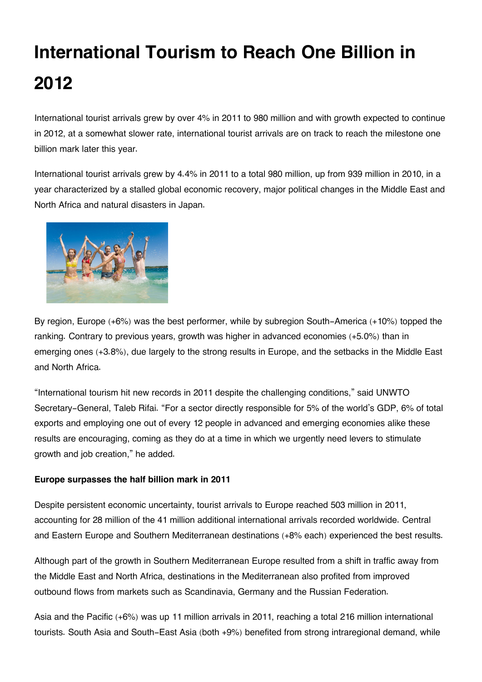# **International Tourism to Reach One Billion in 2012**

International tourist arrivals grew by over 4% in 2011 to 980 million and with growth expected to continue in 2012, at a somewhat slower rate, international tourist arrivals are on track to reach the milestone one billion mark later this year.

International tourist arrivals grew by 4.4% in 2011 to a total 980 million, up from 939 million in 2010, in a year characterized by a stalled global economic recovery, major political changes in the Middle East and North Africa and natural disasters in Japan.



By region, Europe (+6%) was the best performer, while by subregion South-America (+10%) topped the ranking. Contrary to previous years, growth was higher in advanced economies (+5.0%) than in emerging ones (+3.8%), due largely to the strong results in Europe, and the setbacks in the Middle East and North Africa.

"International tourism hit new records in 2011 despite the challenging conditions," said UNWTO Secretary-General, Taleb Rifai. "For a sector directly responsible for 5% of the world's GDP, 6% of total exports and employing one out of every 12 people in advanced and emerging economies alike these results are encouraging, coming as they do at a time in which we urgently need levers to stimulate growth and job creation," he added.

### **Europe surpasses the half billion mark in 2011**

Despite persistent economic uncertainty, tourist arrivals to Europe reached 503 million in 2011, accounting for 28 million of the 41 million additional international arrivals recorded worldwide. Central and Eastern Europe and Southern Mediterranean destinations (+8% each) experienced the best results.

Although part of the growth in Southern Mediterranean Europe resulted from a shift in traffic away from the Middle East and North Africa, destinations in the Mediterranean also profited from improved outbound flows from markets such as Scandinavia, Germany and the Russian Federation.

Asia and the Pacific (+6%) was up 11 million arrivals in 2011, reaching a total 216 million international tourists. South Asia and South-East Asia (both +9%) benefited from strong intraregional demand, while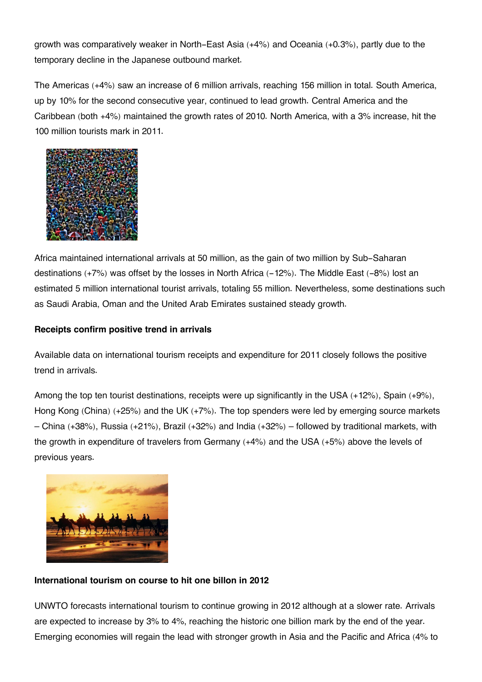growth was comparatively weaker in North-East Asia (+4%) and Oceania (+0.3%), partly due to the temporary decline in the Japanese outbound market.

The Americas (+4%) saw an increase of 6 million arrivals, reaching 156 million in total. South America, up by 10% for the second consecutive year, continued to lead growth. Central America and the Caribbean (both +4%) maintained the growth rates of 2010. North America, with a 3% increase, hit the 100 million tourists mark in 2011.



Africa maintained international arrivals at 50 million, as the gain of two million by Sub-Saharan destinations  $(+7%)$  was offset by the losses in North Africa  $(-12%)$ . The Middle East  $(-8%)$  lost an estimated 5 million international tourist arrivals, totaling 55 million. Nevertheless, some destinations such as Saudi Arabia, Oman and the United Arab Emirates sustained steady growth.

### **Receipts confirm positive trend in arrivals**

Available data on international tourism receipts and expenditure for 2011 closely follows the positive trend in arrivals.

Among the top ten tourist destinations, receipts were up significantly in the USA (+12%), Spain (+9%), Hong Kong (China) (+25%) and the UK (+7%). The top spenders were led by emerging source markets – China (+38%), Russia (+21%), Brazil (+32%) and India (+32%) – followed by traditional markets, with the growth in expenditure of travelers from Germany (+4%) and the USA (+5%) above the levels of previous years.



### **International tourism on course to hit one billon in 2012**

UNWTO forecasts international tourism to continue growing in 2012 although at a slower rate. Arrivals are expected to increase by 3% to 4%, reaching the historic one billion mark by the end of the year. Emerging economies will regain the lead with stronger growth in Asia and the Pacific and Africa (4% to